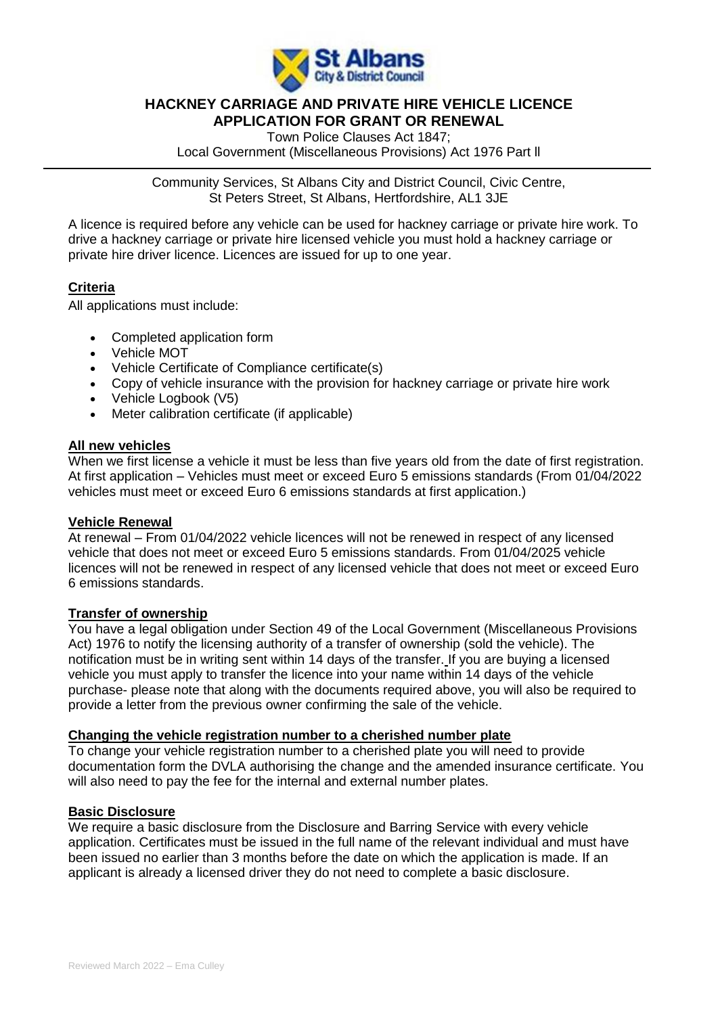

# **HACKNEY CARRIAGE AND PRIVATE HIRE VEHICLE LICENCE APPLICATION FOR GRANT OR RENEWAL**

Town Police Clauses Act 1847; Local Government (Miscellaneous Provisions) Act 1976 Part ll

Community Services, St Albans City and District Council, Civic Centre, St Peters Street, St Albans, Hertfordshire, AL1 3JE

A licence is required before any vehicle can be used for hackney carriage or private hire work. To drive a hackney carriage or private hire licensed vehicle you must hold a hackney carriage or private hire driver licence. Licences are issued for up to one year.

# **Criteria**

All applications must include:

- Completed application form
- Vehicle MOT
- Vehicle Certificate of Compliance certificate(s)
- Copy of vehicle insurance with the provision for hackney carriage or private hire work
- Vehicle Logbook (V5)
- Meter calibration certificate (if applicable)

# **All new vehicles**

When we first license a vehicle it must be less than five years old from the date of first registration. At first application – Vehicles must meet or exceed Euro 5 emissions standards (From 01/04/2022 vehicles must meet or exceed Euro 6 emissions standards at first application.)

## **Vehicle Renewal**

At renewal – From 01/04/2022 vehicle licences will not be renewed in respect of any licensed vehicle that does not meet or exceed Euro 5 emissions standards. From 01/04/2025 vehicle licences will not be renewed in respect of any licensed vehicle that does not meet or exceed Euro 6 emissions standards.

## **Transfer of ownership**

You have a legal obligation under Section 49 of the Local Government (Miscellaneous Provisions Act) 1976 to notify the licensing authority of a transfer of ownership (sold the vehicle). The notification must be in writing sent within 14 days of the transfer. If you are buying a licensed vehicle you must apply to transfer the licence into your name within 14 days of the vehicle purchase- please note that along with the documents required above, you will also be required to provide a letter from the previous owner confirming the sale of the vehicle.

# **Changing the vehicle registration number to a cherished number plate**

To change your vehicle registration number to a cherished plate you will need to provide documentation form the DVLA authorising the change and the amended insurance certificate. You will also need to pay the fee for the internal and external number plates.

## **Basic Disclosure**

We require a basic disclosure from the Disclosure and Barring Service with every vehicle application. Certificates must be issued in the full name of the relevant individual and must have been issued no earlier than 3 months before the date on which the application is made. If an applicant is already a licensed driver they do not need to complete a basic disclosure.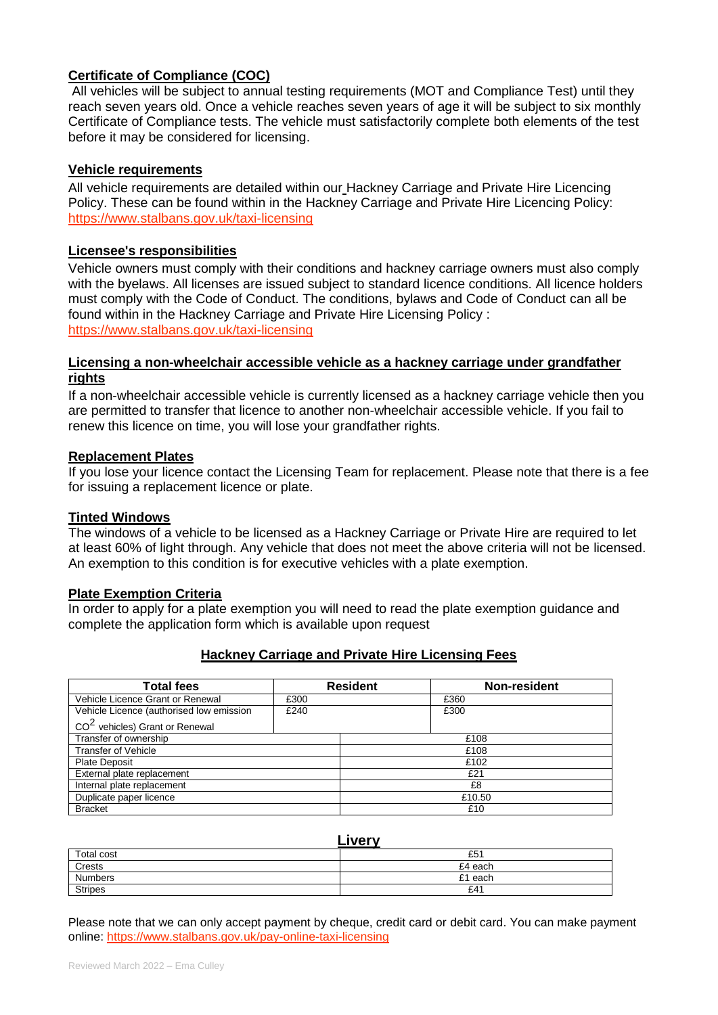# **Certificate of Compliance (COC)**

All vehicles will be subject to annual testing requirements (MOT and Compliance Test) until they reach seven years old. Once a vehicle reaches seven years of age it will be subject to six monthly Certificate of Compliance tests. The vehicle must satisfactorily complete both elements of the test before it may be considered for licensing.

# **Vehicle requirements**

All vehicle requirements are detailed within our Hackney Carriage and Private Hire Licencing Policy. These can be found within in the Hackney Carriage and Private Hire Licencing Policy: https://www.stalbans.gov.uk/taxi-licensing

## **Licensee's responsibilities**

Vehicle owners must comply with their conditions and hackney carriage owners must also comply with the byelaws. All licenses are issued subject to standard licence conditions. All licence holders must comply with the Code of Conduct. The conditions, bylaws and Code of Conduct can all be found within in the Hackney Carriage and Private Hire Licensing Policy : https://www.stalbans.gov.uk/taxi-licensing

# **Licensing a non-wheelchair accessible vehicle as a hackney carriage under grandfather rights**

If a non-wheelchair accessible vehicle is currently licensed as a hackney carriage vehicle then you are permitted to transfer that licence to another non-wheelchair accessible vehicle. If you fail to renew this licence on time, you will lose your grandfather rights.

## **Replacement Plates**

If you lose your licence contact the Licensing Team for replacement. Please note that there is a fee for issuing a replacement licence or plate.

## **Tinted Windows**

The windows of a vehicle to be licensed as a Hackney Carriage or Private Hire are required to let at least 60% of light through. Any vehicle that does not meet the above criteria will not be licensed. An exemption to this condition is for executive vehicles with a plate exemption.

## **Plate Exemption Criteria**

In order to apply for a plate exemption you will need to read the plate exemption guidance and complete the application form which is available upon request

# **Hackney Carriage and Private Hire Licensing Fees**

| <b>Total fees</b>                          |      | <b>Resident</b> | Non-resident |
|--------------------------------------------|------|-----------------|--------------|
| Vehicle Licence Grant or Renewal           | £300 |                 | £360         |
| Vehicle Licence (authorised low emission   | £240 |                 | £300         |
| CO <sup>2</sup> vehicles) Grant or Renewal |      |                 |              |
| Transfer of ownership                      |      |                 | £108         |
| <b>Transfer of Vehicle</b>                 |      |                 | £108         |
| <b>Plate Deposit</b>                       |      |                 | £102         |
| External plate replacement                 |      |                 | £21          |
| Internal plate replacement                 |      |                 | £8           |
| Duplicate paper licence                    |      | £10.50          |              |
| <b>Bracket</b>                             |      |                 | £10          |

## **Livery**

|                | ----    |
|----------------|---------|
| Total cost     | £51     |
| Crests         | £4 each |
| <b>Numbers</b> | £1 each |
| <b>Stripes</b> | £41     |

Please note that we can only accept payment by cheque, credit card or debit card. You can make payment online:<https://www.stalbans.gov.uk/pay-online-taxi-licensing>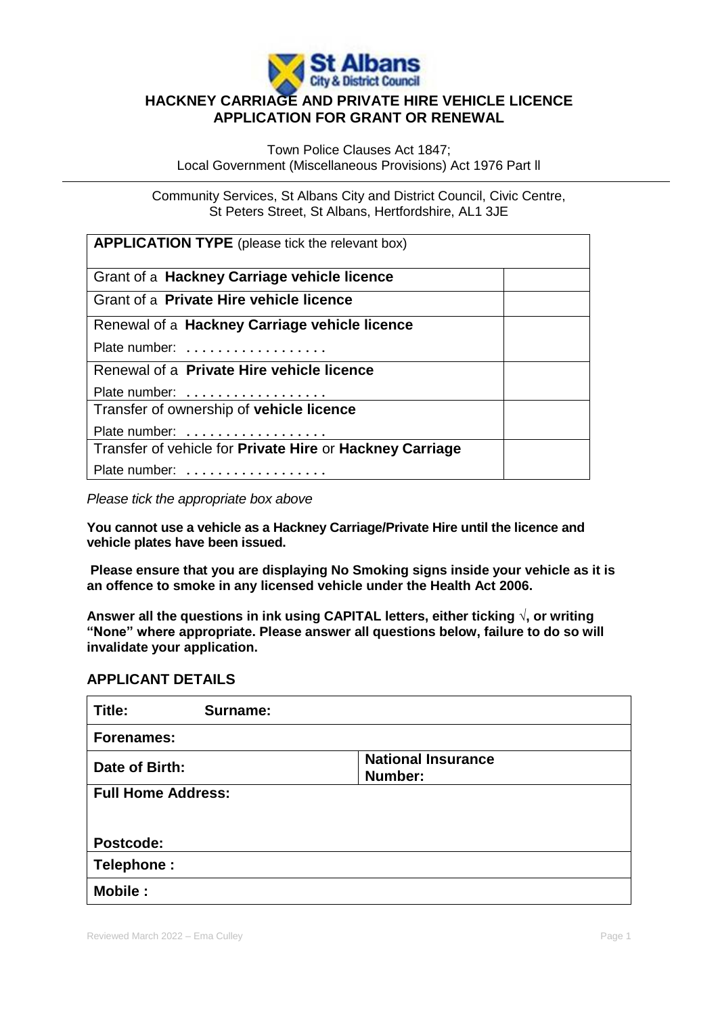

# **HACKNEY CARRIAGE AND PRIVATE HIRE VEHICLE LICENCE APPLICATION FOR GRANT OR RENEWAL**

Town Police Clauses Act 1847; Local Government (Miscellaneous Provisions) Act 1976 Part ll

Community Services, St Albans City and District Council, Civic Centre, St Peters Street, St Albans, Hertfordshire, AL1 3JE

| <b>APPLICATION TYPE</b> (please tick the relevant box)   |  |  |
|----------------------------------------------------------|--|--|
| Grant of a Hackney Carriage vehicle licence              |  |  |
| Grant of a Private Hire vehicle licence                  |  |  |
| Renewal of a Hackney Carriage vehicle licence            |  |  |
| Plate number:                                            |  |  |
| Renewal of a Private Hire vehicle licence                |  |  |
| Plate number:                                            |  |  |
| Transfer of ownership of vehicle licence                 |  |  |
| Plate number:                                            |  |  |
| Transfer of vehicle for Private Hire or Hackney Carriage |  |  |
| Plate number:                                            |  |  |

*Please tick the appropriate box above* 

**You cannot use a vehicle as a Hackney Carriage/Private Hire until the licence and vehicle plates have been issued.**

**Please ensure that you are displaying No Smoking signs inside your vehicle as it is an offence to smoke in any licensed vehicle under the Health Act 2006.**

**Answer all the questions in ink using CAPITAL letters, either ticking √, or writing "None" where appropriate. Please answer all questions below, failure to do so will invalidate your application.**

# **APPLICANT DETAILS**

| Title:                    | Surname: |                                      |
|---------------------------|----------|--------------------------------------|
| <b>Forenames:</b>         |          |                                      |
| Date of Birth:            |          | <b>National Insurance</b><br>Number: |
| <b>Full Home Address:</b> |          |                                      |
|                           |          |                                      |
| Postcode:                 |          |                                      |
| Telephone:                |          |                                      |
| <b>Mobile:</b>            |          |                                      |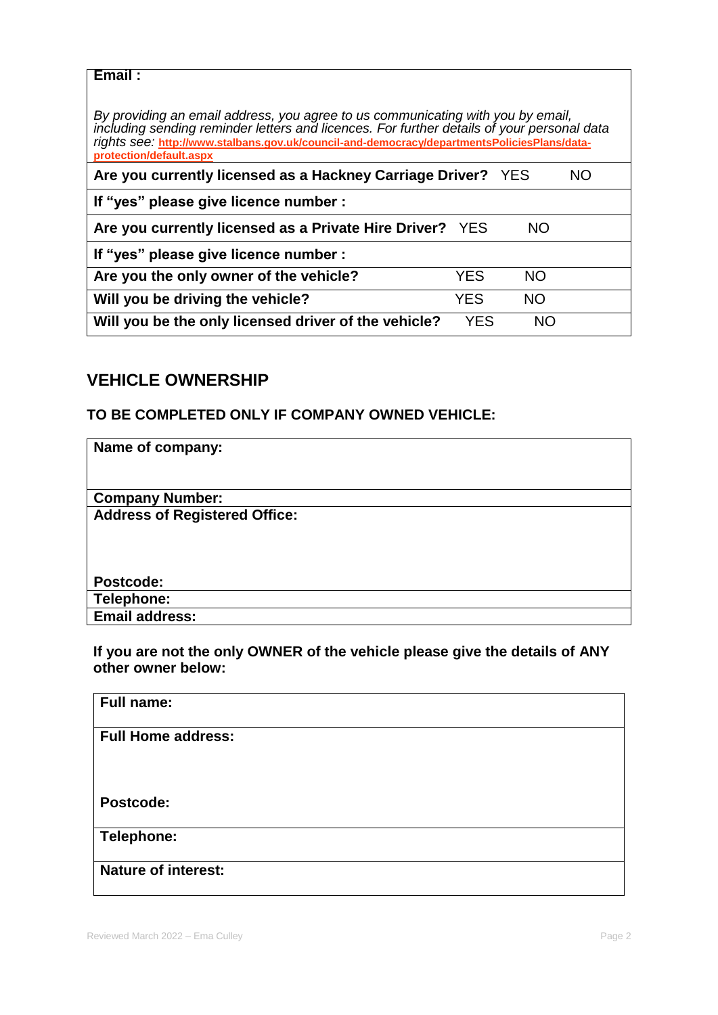# **Email :**

*By providing an email address, you agree to us communicating with you by email, including sending reminder letters and licences. For further details of your personal data rights see:* **[http://www.stalbans.gov.uk/council-and-democracy/departmentsPoliciesPlans/data](http://www.stalbans.gov.uk/council-and-democracy/departmentsPoliciesPlans/data-protection/default.aspx)[protection/default.aspx](http://www.stalbans.gov.uk/council-and-democracy/departmentsPoliciesPlans/data-protection/default.aspx)**

| Are you currently licensed as a Hackney Carriage Driver? YES |      |     | NO. |
|--------------------------------------------------------------|------|-----|-----|
| If "yes" please give licence number :                        |      |     |     |
| Are you currently licensed as a Private Hire Driver? YES     |      | NO. |     |
| If "yes" please give licence number :                        |      |     |     |
| Are you the only owner of the vehicle?                       | YES. | NO. |     |
| Will you be driving the vehicle?                             | YES. | NO. |     |
| Will you be the only licensed driver of the vehicle?         | YES  | NO. |     |

# **VEHICLE OWNERSHIP**

# **TO BE COMPLETED ONLY IF COMPANY OWNED VEHICLE:**

| Name of company:                     |
|--------------------------------------|
|                                      |
| <b>Company Number:</b>               |
| <b>Address of Registered Office:</b> |
|                                      |
|                                      |
|                                      |
| Postcode:                            |
| Telephone:                           |
| <b>Email address:</b>                |
|                                      |

**If you are not the only OWNER of the vehicle please give the details of ANY other owner below:**

| <b>Full name:</b>          |
|----------------------------|
|                            |
| <b>Full Home address:</b>  |
|                            |
|                            |
|                            |
|                            |
| Postcode:                  |
|                            |
|                            |
| <b>Telephone:</b>          |
|                            |
| <b>Nature of interest:</b> |
|                            |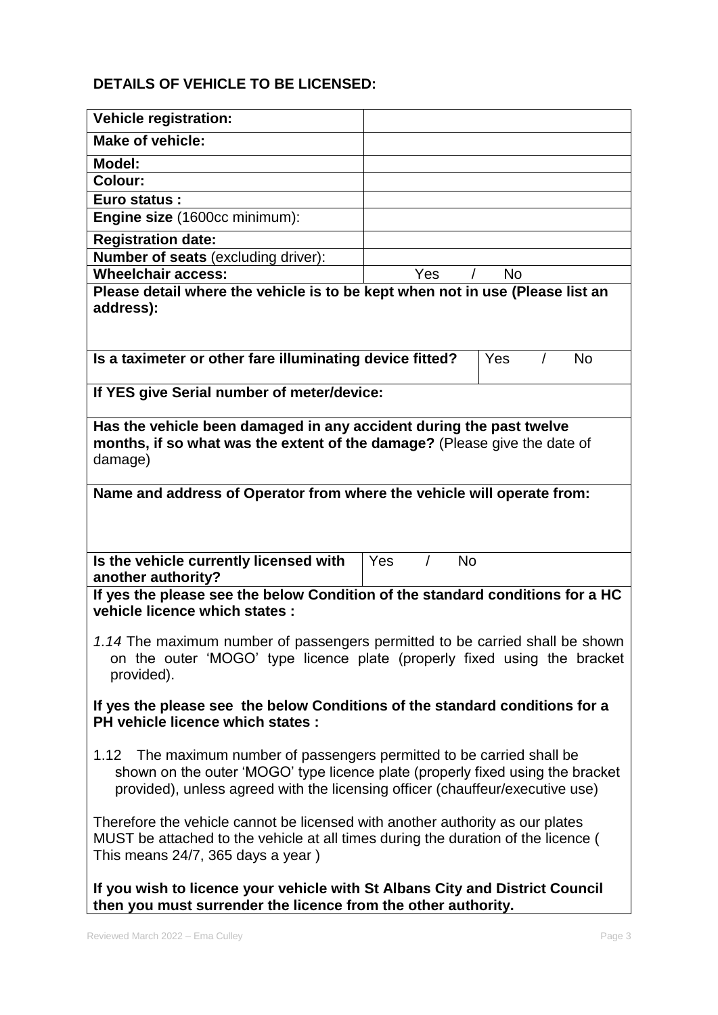# **DETAILS OF VEHICLE TO BE LICENSED:**

| <b>Vehicle registration:</b>                                                                                                                                                                                                              |                  |  |  |
|-------------------------------------------------------------------------------------------------------------------------------------------------------------------------------------------------------------------------------------------|------------------|--|--|
| <b>Make of vehicle:</b>                                                                                                                                                                                                                   |                  |  |  |
| <b>Model:</b>                                                                                                                                                                                                                             |                  |  |  |
| <b>Colour:</b>                                                                                                                                                                                                                            |                  |  |  |
| <b>Euro status:</b>                                                                                                                                                                                                                       |                  |  |  |
| Engine size (1600cc minimum):                                                                                                                                                                                                             |                  |  |  |
| <b>Registration date:</b>                                                                                                                                                                                                                 |                  |  |  |
| Number of seats (excluding driver):                                                                                                                                                                                                       |                  |  |  |
| <b>Wheelchair access:</b>                                                                                                                                                                                                                 | Yes<br><b>No</b> |  |  |
| Please detail where the vehicle is to be kept when not in use (Please list an<br>address):                                                                                                                                                |                  |  |  |
| Is a taximeter or other fare illuminating device fitted?                                                                                                                                                                                  | Yes<br><b>No</b> |  |  |
| If YES give Serial number of meter/device:                                                                                                                                                                                                |                  |  |  |
| Has the vehicle been damaged in any accident during the past twelve<br>months, if so what was the extent of the damage? (Please give the date of<br>damage)                                                                               |                  |  |  |
| Name and address of Operator from where the vehicle will operate from:                                                                                                                                                                    |                  |  |  |
| Is the vehicle currently licensed with<br>another authority?                                                                                                                                                                              | Yes<br><b>No</b> |  |  |
| If yes the please see the below Condition of the standard conditions for a HC<br>vehicle licence which states :                                                                                                                           |                  |  |  |
| 1.14 The maximum number of passengers permitted to be carried shall be shown<br>on the outer 'MOGO' type licence plate (properly fixed using the bracket<br>provided).                                                                    |                  |  |  |
| If yes the please see the below Conditions of the standard conditions for a<br>PH vehicle licence which states :                                                                                                                          |                  |  |  |
| 1.12 The maximum number of passengers permitted to be carried shall be<br>shown on the outer 'MOGO' type licence plate (properly fixed using the bracket<br>provided), unless agreed with the licensing officer (chauffeur/executive use) |                  |  |  |
| Therefore the vehicle cannot be licensed with another authority as our plates<br>MUST be attached to the vehicle at all times during the duration of the licence (<br>This means 24/7, 365 days a year)                                   |                  |  |  |
| If you wish to licence your vehicle with St Albans City and District Council<br>then you must surrender the licence from the other authority.                                                                                             |                  |  |  |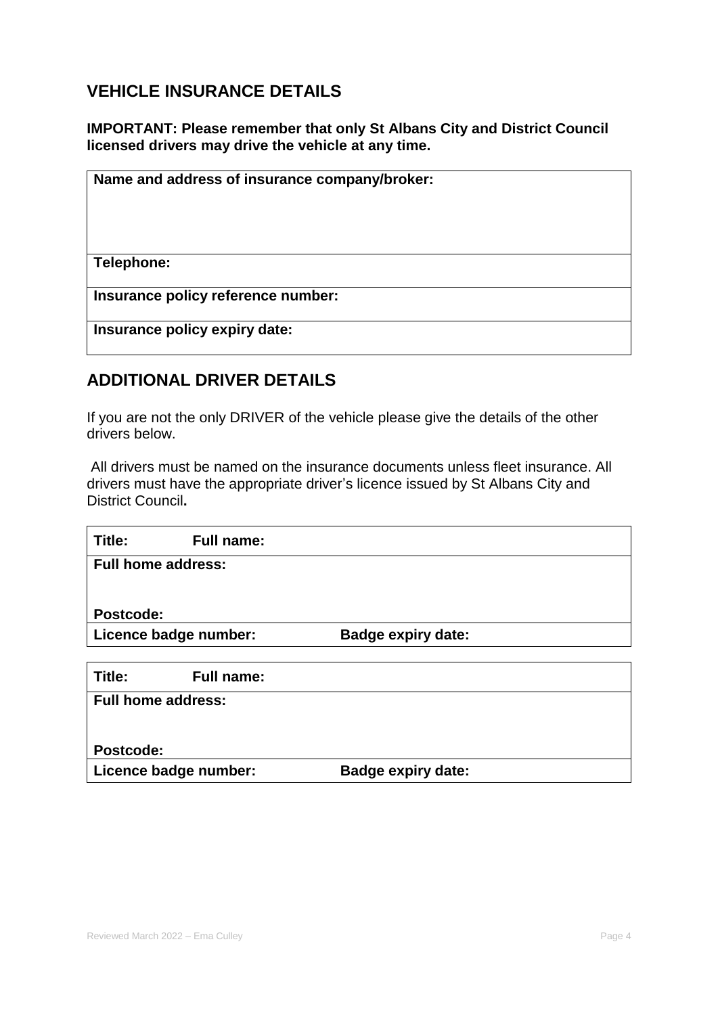# **VEHICLE INSURANCE DETAILS**

**IMPORTANT: Please remember that only St Albans City and District Council licensed drivers may drive the vehicle at any time.** 

| Name and address of insurance company/broker: |  |
|-----------------------------------------------|--|
|                                               |  |
|                                               |  |
|                                               |  |
| Telephone:                                    |  |
| Insurance policy reference number:            |  |
|                                               |  |
| Insurance policy expiry date:                 |  |

# **ADDITIONAL DRIVER DETAILS**

If you are not the only DRIVER of the vehicle please give the details of the other drivers below.

All drivers must be named on the insurance documents unless fleet insurance. All drivers must have the appropriate driver's licence issued by St Albans City and District Council**.**

| Title:<br><b>Full name:</b> |                           |
|-----------------------------|---------------------------|
| <b>Full home address:</b>   |                           |
|                             |                           |
| Postcode:                   |                           |
| Licence badge number:       | <b>Badge expiry date:</b> |
|                             |                           |
| Title:<br><b>Full name:</b> |                           |
| <b>Full home address:</b>   |                           |
|                             |                           |
| Postcode:                   |                           |
| Licence badge number:       | <b>Badge expiry date:</b> |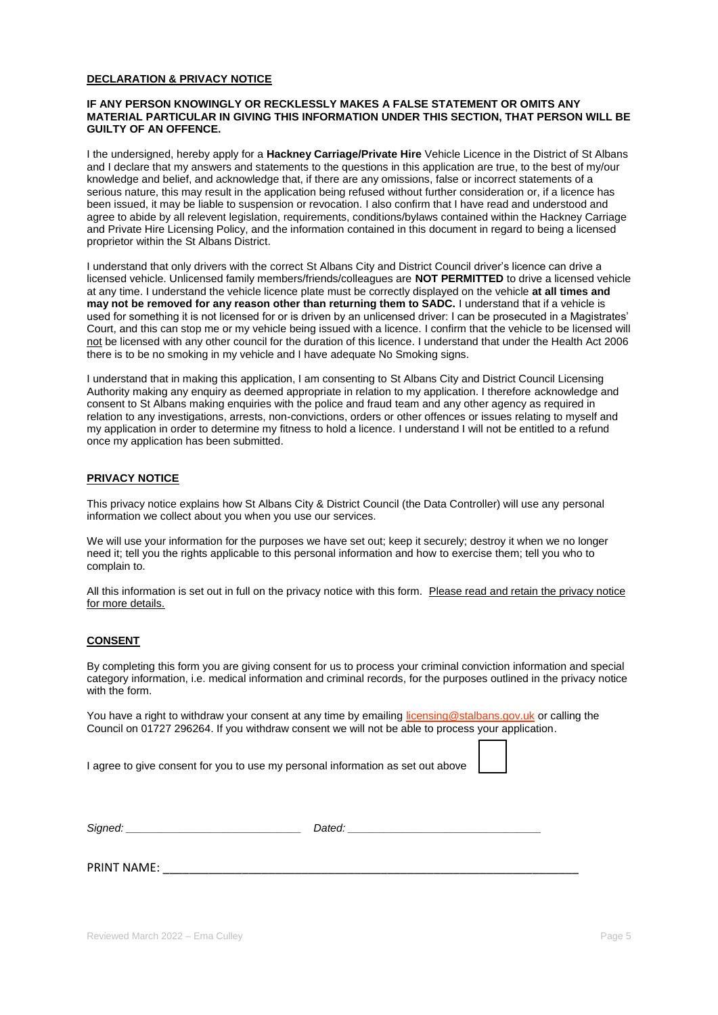#### **DECLARATION & PRIVACY NOTICE**

#### **IF ANY PERSON KNOWINGLY OR RECKLESSLY MAKES A FALSE STATEMENT OR OMITS ANY MATERIAL PARTICULAR IN GIVING THIS INFORMATION UNDER THIS SECTION, THAT PERSON WILL BE GUILTY OF AN OFFENCE.**

I the undersigned, hereby apply for a **Hackney Carriage/Private Hire** Vehicle Licence in the District of St Albans and I declare that my answers and statements to the questions in this application are true, to the best of my/our knowledge and belief, and acknowledge that, if there are any omissions, false or incorrect statements of a serious nature, this may result in the application being refused without further consideration or, if a licence has been issued, it may be liable to suspension or revocation. I also confirm that I have read and understood and agree to abide by all relevent legislation, requirements, conditions/bylaws contained within the Hackney Carriage and Private Hire Licensing Policy, and the information contained in this document in regard to being a licensed proprietor within the St Albans District.

I understand that only drivers with the correct St Albans City and District Council driver's licence can drive a licensed vehicle. Unlicensed family members/friends/colleagues are **NOT PERMITTED** to drive a licensed vehicle at any time. I understand the vehicle licence plate must be correctly displayed on the vehicle **at all times and may not be removed for any reason other than returning them to SADC.** I understand that if a vehicle is used for something it is not licensed for or is driven by an unlicensed driver: I can be prosecuted in a Magistrates' Court, and this can stop me or my vehicle being issued with a licence. I confirm that the vehicle to be licensed will not be licensed with any other council for the duration of this licence. I understand that under the Health Act 2006 there is to be no smoking in my vehicle and I have adequate No Smoking signs.

I understand that in making this application, I am consenting to St Albans City and District Council Licensing Authority making any enquiry as deemed appropriate in relation to my application. I therefore acknowledge and consent to St Albans making enquiries with the police and fraud team and any other agency as required in relation to any investigations, arrests, non-convictions, orders or other offences or issues relating to myself and my application in order to determine my fitness to hold a licence. I understand I will not be entitled to a refund once my application has been submitted.

#### **PRIVACY NOTICE**

This privacy notice explains how St Albans City & District Council (the Data Controller) will use any personal information we collect about you when you use our services.

We will use your information for the purposes we have set out; keep it securely; destroy it when we no longer need it; tell you the rights applicable to this personal information and how to exercise them; tell you who to complain to.

All this information is set out in full on the privacy notice with this form. Please read and retain the privacy notice for more details.

#### **CONSENT**

By completing this form you are giving consent for us to process your criminal conviction information and special category information, i.e. medical information and criminal records, for the purposes outlined in the privacy notice with the form.

You have a right to withdraw your consent at any time by emailin[g licensing@stalbans.gov.uk](mailto:licensing@stalbans.gov.uk) or calling the Council on 01727 296264. If you withdraw consent we will not be able to process your application.

I agree to give consent for you to use my personal information as set out above

|  | $\overline{\phantom{a}}$ |
|--|--------------------------|

| Signed: |  |
|---------|--|
|---------|--|

 $Dated$ :

PRINT NAME:  $\blacksquare$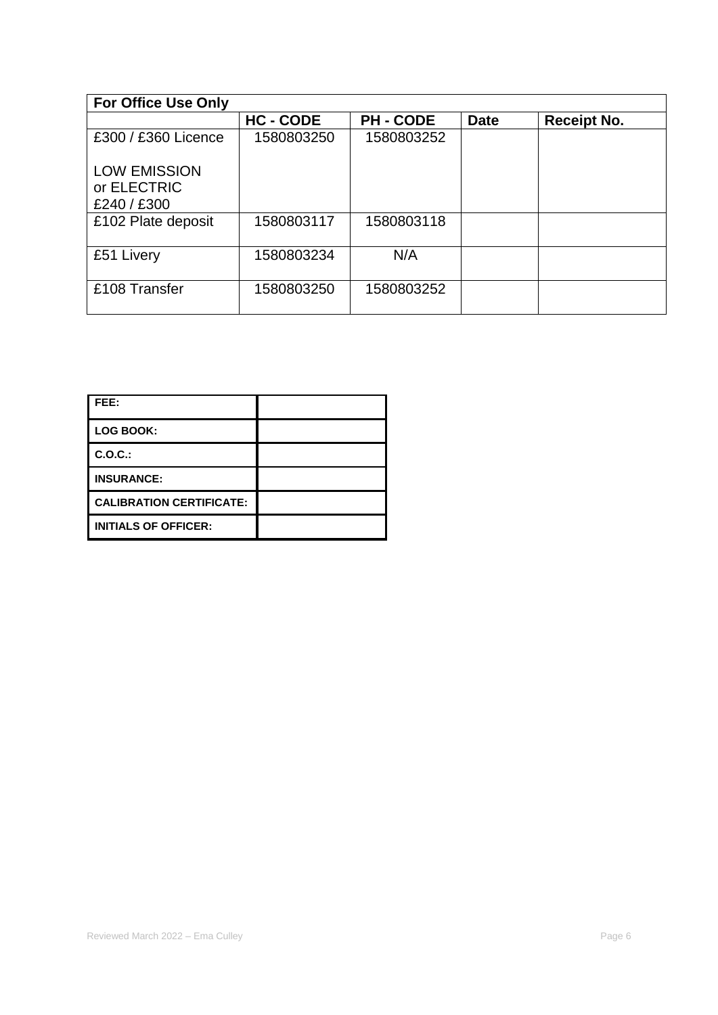| <b>For Office Use Only</b> |                |                |             |                    |
|----------------------------|----------------|----------------|-------------|--------------------|
|                            | <b>HC-CODE</b> | <b>PH-CODE</b> | <b>Date</b> | <b>Receipt No.</b> |
| £300 / £360 Licence        | 1580803250     | 1580803252     |             |                    |
| <b>LOW EMISSION</b>        |                |                |             |                    |
| or ELECTRIC                |                |                |             |                    |
| £240 / £300                |                |                |             |                    |
| £102 Plate deposit         | 1580803117     | 1580803118     |             |                    |
| £51 Livery                 | 1580803234     | N/A            |             |                    |
| £108 Transfer              | 1580803250     | 1580803252     |             |                    |

| I FEE:                          |  |
|---------------------------------|--|
| <b>LOG BOOK:</b>                |  |
| C.O.C.:                         |  |
| <b>INSURANCE:</b>               |  |
| <b>CALIBRATION CERTIFICATE:</b> |  |
| <b>INITIALS OF OFFICER:</b>     |  |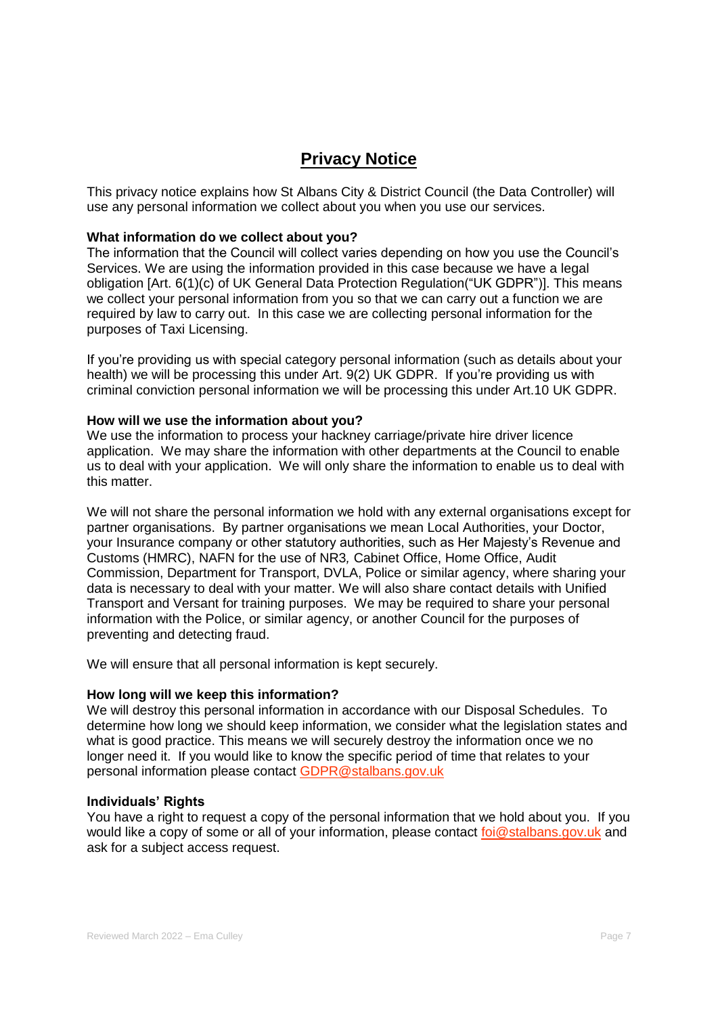# **Privacy Notice**

This privacy notice explains how St Albans City & District Council (the Data Controller) will use any personal information we collect about you when you use our services.

## **What information do we collect about you?**

The information that the Council will collect varies depending on how you use the Council's Services. We are using the information provided in this case because we have a legal obligation [Art. 6(1)(c) of UK General Data Protection Regulation("UK GDPR")]. This means we collect your personal information from you so that we can carry out a function we are required by law to carry out. In this case we are collecting personal information for the purposes of Taxi Licensing.

If you're providing us with special category personal information (such as details about your health) we will be processing this under Art. 9(2) UK GDPR. If you're providing us with criminal conviction personal information we will be processing this under Art.10 UK GDPR.

#### **How will we use the information about you?**

We use the information to process your hackney carriage/private hire driver licence application. We may share the information with other departments at the Council to enable us to deal with your application. We will only share the information to enable us to deal with this matter.

We will not share the personal information we hold with any external organisations except for partner organisations. By partner organisations we mean Local Authorities, your Doctor, your Insurance company or other statutory authorities, such as Her Majesty's Revenue and Customs (HMRC), NAFN for the use of NR3*,* Cabinet Office, Home Office, Audit Commission, Department for Transport, DVLA, Police or similar agency, where sharing your data is necessary to deal with your matter. We will also share contact details with Unified Transport and Versant for training purposes. We may be required to share your personal information with the Police, or similar agency, or another Council for the purposes of preventing and detecting fraud.

We will ensure that all personal information is kept securely.

#### **How long will we keep this information?**

We will destroy this personal information in accordance with our Disposal Schedules. To determine how long we should keep information, we consider what the legislation states and what is good practice. This means we will securely destroy the information once we no longer need it. If you would like to know the specific period of time that relates to your personal information please contact [GDPR@stalbans.gov.uk](mailto:GDPR@stalbans.gov.uk)

#### **Individuals' Rights**

You have a right to request a copy of the personal information that we hold about you. If you would like a copy of some or all of your information, please contact [foi@stalbans.gov.uk](mailto:foi@stalbans.gov.uk) and ask for a subject access request.